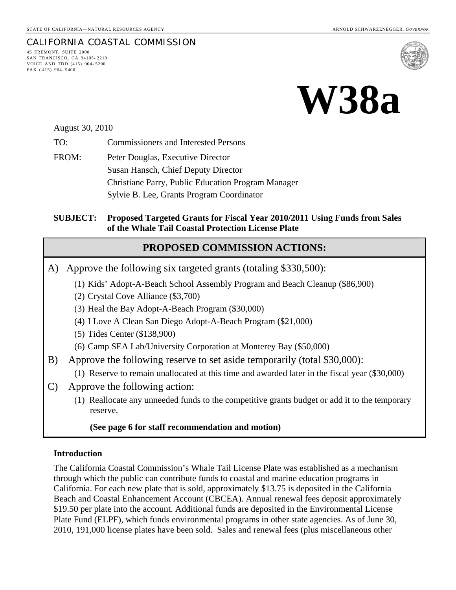# CALIFORNIA COASTAL COMMISSION



45 FREMONT, SUITE 2000 SAN FRANCISCO, CA 94105- 2219 VOICE AND TDD (415) 904- 5200 FAX ( 415) 904- 5400



August 30, 2010

TO: Commissioners and Interested Persons

FROM: Peter Douglas, Executive Director Susan Hansch, Chief Deputy Director Christiane Parry, Public Education Program Manager Sylvie B. Lee, Grants Program Coordinator

#### **SUBJECT: Proposed Targeted Grants for Fiscal Year 2010/2011 Using Funds from Sales of the Whale Tail Coastal Protection License Plate**

## **PROPOSED COMMISSION ACTIONS:**

- A) Approve the following six targeted grants (totaling \$330,500):
	- (1) Kids' Adopt-A-Beach School Assembly Program and Beach Cleanup (\$86,900)
	- (2) Crystal Cove Alliance (\$3,700)
	- (3) Heal the Bay Adopt-A-Beach Program (\$30,000)
	- (4) I Love A Clean San Diego Adopt-A-Beach Program (\$21,000)
	- (5) Tides Center (\$138,900)
	- (6) Camp SEA Lab/University Corporation at Monterey Bay (\$50,000)
- B) Approve the following reserve to set aside temporarily (total \$30,000):
	- (1) Reserve to remain unallocated at this time and awarded later in the fiscal year (\$30,000)
- C) Approve the following action:
	- (1) Reallocate any unneeded funds to the competitive grants budget or add it to the temporary reserve.

#### **(See page 6 for staff recommendation and motion)**

#### **Introduction**

The California Coastal Commission's Whale Tail License Plate was established as a mechanism through which the public can contribute funds to coastal and marine education programs in California. For each new plate that is sold, approximately \$13.75 is deposited in the California Beach and Coastal Enhancement Account (CBCEA). Annual renewal fees deposit approximately \$19.50 per plate into the account. Additional funds are deposited in the Environmental License Plate Fund (ELPF), which funds environmental programs in other state agencies. As of June 30, 2010, 191,000 license plates have been sold. Sales and renewal fees (plus miscellaneous other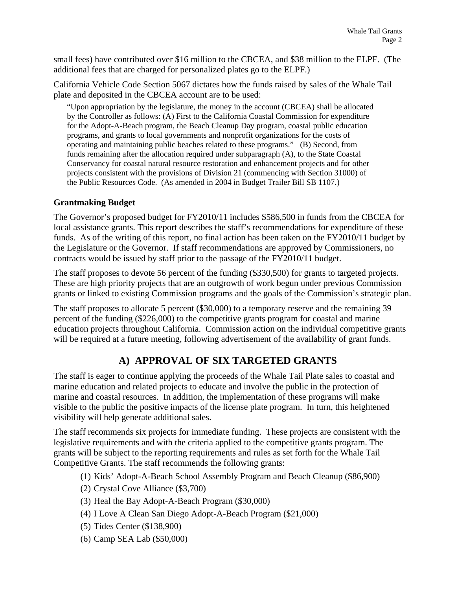small fees) have contributed over \$16 million to the CBCEA, and \$38 million to the ELPF. (The additional fees that are charged for personalized plates go to the ELPF.)

California Vehicle Code Section 5067 dictates how the funds raised by sales of the Whale Tail plate and deposited in the CBCEA account are to be used:

"Upon appropriation by the legislature, the money in the account (CBCEA) shall be allocated by the Controller as follows: (A) First to the California Coastal Commission for expenditure for the Adopt-A-Beach program, the Beach Cleanup Day program, coastal public education programs, and grants to local governments and nonprofit organizations for the costs of operating and maintaining public beaches related to these programs." (B) Second, from funds remaining after the allocation required under subparagraph (A), to the State Coastal Conservancy for coastal natural resource restoration and enhancement projects and for other projects consistent with the provisions of Division 21 (commencing with Section 31000) of the Public Resources Code. (As amended in 2004 in Budget Trailer Bill SB 1107.)

#### **Grantmaking Budget**

The Governor's proposed budget for FY2010/11 includes \$586,500 in funds from the CBCEA for local assistance grants. This report describes the staff's recommendations for expenditure of these funds. As of the writing of this report, no final action has been taken on the FY2010/11 budget by the Legislature or the Governor. If staff recommendations are approved by Commissioners, no contracts would be issued by staff prior to the passage of the FY2010/11 budget.

The staff proposes to devote 56 percent of the funding (\$330,500) for grants to targeted projects. These are high priority projects that are an outgrowth of work begun under previous Commission grants or linked to existing Commission programs and the goals of the Commission's strategic plan.

The staff proposes to allocate 5 percent (\$30,000) to a temporary reserve and the remaining 39 percent of the funding (\$226,000) to the competitive grants program for coastal and marine education projects throughout California. Commission action on the individual competitive grants will be required at a future meeting, following advertisement of the availability of grant funds.

# **A) APPROVAL OF SIX TARGETED GRANTS**

The staff is eager to continue applying the proceeds of the Whale Tail Plate sales to coastal and marine education and related projects to educate and involve the public in the protection of marine and coastal resources. In addition, the implementation of these programs will make visible to the public the positive impacts of the license plate program. In turn, this heightened visibility will help generate additional sales.

The staff recommends six projects for immediate funding. These projects are consistent with the legislative requirements and with the criteria applied to the competitive grants program. The grants will be subject to the reporting requirements and rules as set forth for the Whale Tail Competitive Grants. The staff recommends the following grants:

- (1) Kids' Adopt-A-Beach School Assembly Program and Beach Cleanup (\$86,900)
- (2) Crystal Cove Alliance (\$3,700)
- (3) Heal the Bay Adopt-A-Beach Program (\$30,000)
- (4) I Love A Clean San Diego Adopt-A-Beach Program (\$21,000)
- (5) Tides Center (\$138,900)
- (6) Camp SEA Lab (\$50,000)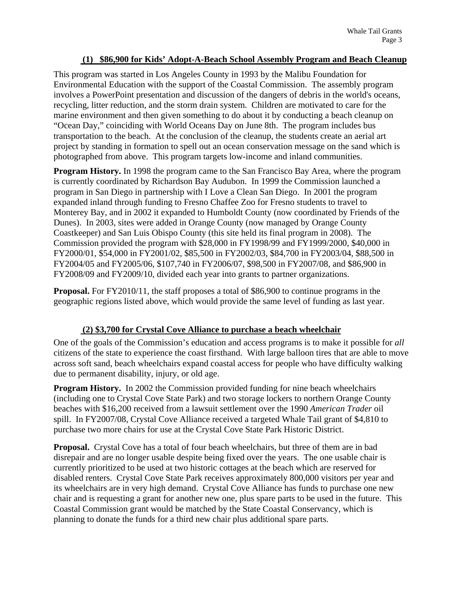#### **(1) \$86,900 for Kids' Adopt-A-Beach School Assembly Program and Beach Cleanup**

This program was started in Los Angeles County in 1993 by the Malibu Foundation for Environmental Education with the support of the Coastal Commission. The assembly program involves a PowerPoint presentation and discussion of the dangers of debris in the world's oceans, recycling, litter reduction, and the storm drain system. Children are motivated to care for the marine environment and then given something to do about it by conducting a beach cleanup on "Ocean Day," coinciding with World Oceans Day on June 8th. The program includes bus transportation to the beach. At the conclusion of the cleanup, the students create an aerial art project by standing in formation to spell out an ocean conservation message on the sand which is photographed from above. This program targets low-income and inland communities.

**Program History.** In 1998 the program came to the San Francisco Bay Area, where the program is currently coordinated by Richardson Bay Audubon. In 1999 the Commission launched a program in San Diego in partnership with I Love a Clean San Diego. In 2001 the program expanded inland through funding to Fresno Chaffee Zoo for Fresno students to travel to Monterey Bay, and in 2002 it expanded to Humboldt County (now coordinated by Friends of the Dunes). In 2003, sites were added in Orange County (now managed by Orange County Coastkeeper) and San Luis Obispo County (this site held its final program in 2008). The Commission provided the program with \$28,000 in FY1998/99 and FY1999/2000, \$40,000 in FY2000/01, \$54,000 in FY2001/02, \$85,500 in FY2002/03, \$84,700 in FY2003/04, \$88,500 in FY2004/05 and FY2005/06, \$107,740 in FY2006/07, \$98,500 in FY2007/08, and \$86,900 in FY2008/09 and FY2009/10, divided each year into grants to partner organizations.

**Proposal.** For FY2010/11, the staff proposes a total of \$86,900 to continue programs in the geographic regions listed above, which would provide the same level of funding as last year.

#### **(2) \$3,700 for Crystal Cove Alliance to purchase a beach wheelchair**

One of the goals of the Commission's education and access programs is to make it possible for *all* citizens of the state to experience the coast firsthand. With large balloon tires that are able to move across soft sand, beach wheelchairs expand coastal access for people who have difficulty walking due to permanent disability, injury, or old age.

**Program History.** In 2002 the Commission provided funding for nine beach wheelchairs (including one to Crystal Cove State Park) and two storage lockers to northern Orange County beaches with \$16,200 received from a lawsuit settlement over the 1990 *American Trader* oil spill. In FY2007/08, Crystal Cove Alliance received a targeted Whale Tail grant of \$4,810 to purchase two more chairs for use at the Crystal Cove State Park Historic District.

**Proposal.** Crystal Cove has a total of four beach wheelchairs, but three of them are in bad disrepair and are no longer usable despite being fixed over the years. The one usable chair is currently prioritized to be used at two historic cottages at the beach which are reserved for disabled renters. Crystal Cove State Park receives approximately 800,000 visitors per year and its wheelchairs are in very high demand. Crystal Cove Alliance has funds to purchase one new chair and is requesting a grant for another new one, plus spare parts to be used in the future. This Coastal Commission grant would be matched by the State Coastal Conservancy, which is planning to donate the funds for a third new chair plus additional spare parts.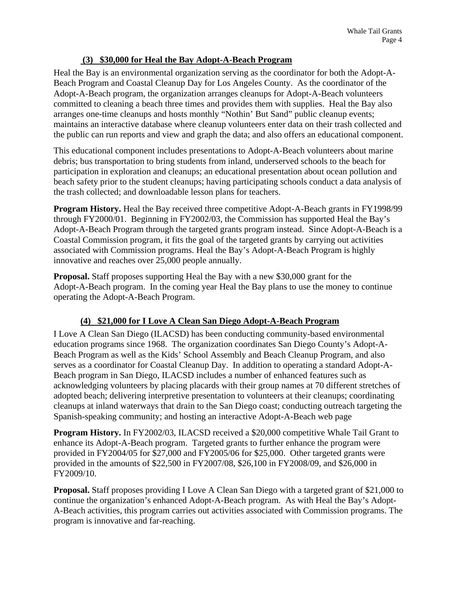#### **(3) \$30,000 for Heal the Bay Adopt-A-Beach Program**

Heal the Bay is an environmental organization serving as the coordinator for both the Adopt-A-Beach Program and Coastal Cleanup Day for Los Angeles County. As the coordinator of the Adopt-A-Beach program, the organization arranges cleanups for Adopt-A-Beach volunteers committed to cleaning a beach three times and provides them with supplies. Heal the Bay also arranges one-time cleanups and hosts monthly "Nothin' But Sand" public cleanup events; maintains an interactive database where cleanup volunteers enter data on their trash collected and the public can run reports and view and graph the data; and also offers an educational component.

This educational component includes presentations to Adopt-A-Beach volunteers about marine debris; bus transportation to bring students from inland, underserved schools to the beach for participation in exploration and cleanups; an educational presentation about ocean pollution and beach safety prior to the student cleanups; having participating schools conduct a data analysis of the trash collected; and downloadable lesson plans for teachers.

**Program History.** Heal the Bay received three competitive Adopt-A-Beach grants in FY1998/99 through FY2000/01. Beginning in FY2002/03, the Commission has supported Heal the Bay's Adopt-A-Beach Program through the targeted grants program instead. Since Adopt-A-Beach is a Coastal Commission program, it fits the goal of the targeted grants by carrying out activities associated with Commission programs. Heal the Bay's Adopt-A-Beach Program is highly innovative and reaches over 25,000 people annually.

**Proposal.** Staff proposes supporting Heal the Bay with a new \$30,000 grant for the Adopt-A-Beach program. In the coming year Heal the Bay plans to use the money to continue operating the Adopt-A-Beach Program.

## **(4) \$21,000 for I Love A Clean San Diego Adopt-A-Beach Program**

I Love A Clean San Diego (ILACSD) has been conducting community-based environmental education programs since 1968. The organization coordinates San Diego County's Adopt-A-Beach Program as well as the Kids' School Assembly and Beach Cleanup Program, and also serves as a coordinator for Coastal Cleanup Day. In addition to operating a standard Adopt-A-Beach program in San Diego, ILACSD includes a number of enhanced features such as acknowledging volunteers by placing placards with their group names at 70 different stretches of adopted beach; delivering interpretive presentation to volunteers at their cleanups; coordinating cleanups at inland waterways that drain to the San Diego coast; conducting outreach targeting the Spanish-speaking community; and hosting an interactive Adopt-A-Beach web page

**Program History.** In FY2002/03, ILACSD received a \$20,000 competitive Whale Tail Grant to enhance its Adopt-A-Beach program. Targeted grants to further enhance the program were provided in FY2004/05 for \$27,000 and FY2005/06 for \$25,000. Other targeted grants were provided in the amounts of \$22,500 in FY2007/08, \$26,100 in FY2008/09, and \$26,000 in FY2009/10.

**Proposal.** Staff proposes providing I Love A Clean San Diego with a targeted grant of \$21,000 to continue the organization's enhanced Adopt-A-Beach program. As with Heal the Bay's Adopt-A-Beach activities, this program carries out activities associated with Commission programs. The program is innovative and far-reaching.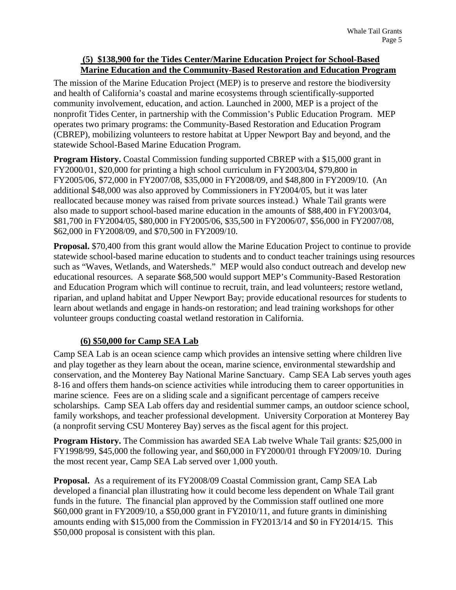#### **(5) \$138,900 for the Tides Center/Marine Education Project for School-Based Marine Education and the Community-Based Restoration and Education Program**

The mission of the Marine Education Project (MEP) is to preserve and restore the biodiversity and health of California's coastal and marine ecosystems through scientifically-supported community involvement, education, and action. Launched in 2000, MEP is a project of the nonprofit Tides Center, in partnership with the Commission's Public Education Program. MEP operates two primary programs: the Community-Based Restoration and Education Program (CBREP), mobilizing volunteers to restore habitat at Upper Newport Bay and beyond, and the statewide School-Based Marine Education Program.

**Program History.** Coastal Commission funding supported CBREP with a \$15,000 grant in FY2000/01, \$20,000 for printing a high school curriculum in FY2003/04, \$79,800 in FY2005/06, \$72,000 in FY2007/08, \$35,000 in FY2008/09, and \$48,800 in FY2009/10. (An additional \$48,000 was also approved by Commissioners in FY2004/05, but it was later reallocated because money was raised from private sources instead.) Whale Tail grants were also made to support school-based marine education in the amounts of \$88,400 in FY2003/04, \$81,700 in FY2004/05, \$80,000 in FY2005/06, \$35,500 in FY2006/07, \$56,000 in FY2007/08, \$62,000 in FY2008/09, and \$70,500 in FY2009/10.

**Proposal.** \$70,400 from this grant would allow the Marine Education Project to continue to provide statewide school-based marine education to students and to conduct teacher trainings using resources such as "Waves, Wetlands, and Watersheds." MEP would also conduct outreach and develop new educational resources. A separate \$68,500 would support MEP's Community-Based Restoration and Education Program which will continue to recruit, train, and lead volunteers; restore wetland, riparian, and upland habitat and Upper Newport Bay; provide educational resources for students to learn about wetlands and engage in hands-on restoration; and lead training workshops for other volunteer groups conducting coastal wetland restoration in California.

#### **(6) \$50,000 for Camp SEA Lab**

Camp SEA Lab is an ocean science camp which provides an intensive setting where children live and play together as they learn about the ocean, marine science, environmental stewardship and conservation, and the Monterey Bay National Marine Sanctuary. Camp SEA Lab serves youth ages 8-16 and offers them hands-on science activities while introducing them to career opportunities in marine science. Fees are on a sliding scale and a significant percentage of campers receive scholarships. Camp SEA Lab offers day and residential summer camps, an outdoor science school, family workshops, and teacher professional development. University Corporation at Monterey Bay (a nonprofit serving CSU Monterey Bay) serves as the fiscal agent for this project.

**Program History.** The Commission has awarded SEA Lab twelve Whale Tail grants: \$25,000 in FY1998/99, \$45,000 the following year, and \$60,000 in FY2000/01 through FY2009/10. During the most recent year, Camp SEA Lab served over 1,000 youth.

**Proposal.** As a requirement of its FY2008/09 Coastal Commission grant, Camp SEA Lab developed a financial plan illustrating how it could become less dependent on Whale Tail grant funds in the future. The financial plan approved by the Commission staff outlined one more \$60,000 grant in FY2009/10, a \$50,000 grant in FY2010/11, and future grants in diminishing amounts ending with \$15,000 from the Commission in FY2013/14 and \$0 in FY2014/15. This \$50,000 proposal is consistent with this plan.